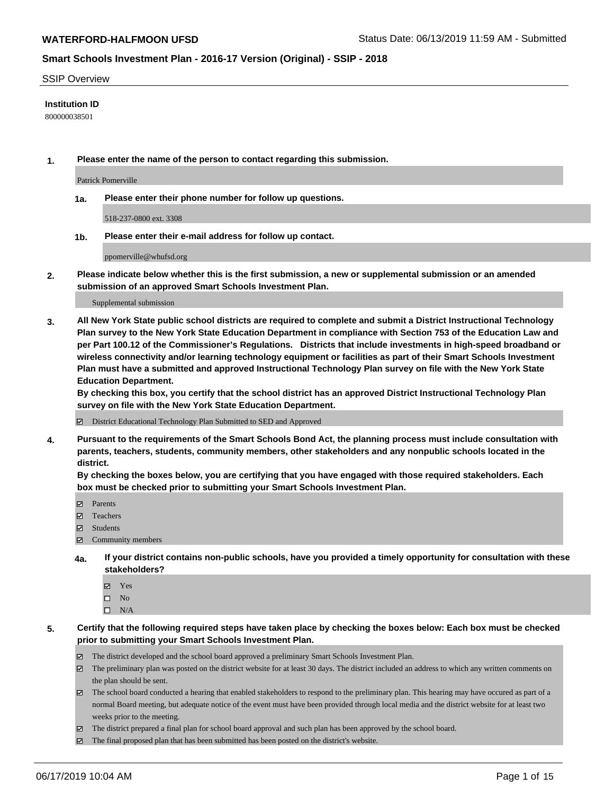#### SSIP Overview

#### **Institution ID**

800000038501

**1. Please enter the name of the person to contact regarding this submission.**

Patrick Pomerville

**1a. Please enter their phone number for follow up questions.**

518-237-0800 ext. 3308

**1b. Please enter their e-mail address for follow up contact.**

ppomerville@whufsd.org

**2. Please indicate below whether this is the first submission, a new or supplemental submission or an amended submission of an approved Smart Schools Investment Plan.**

#### Supplemental submission

**3. All New York State public school districts are required to complete and submit a District Instructional Technology Plan survey to the New York State Education Department in compliance with Section 753 of the Education Law and per Part 100.12 of the Commissioner's Regulations. Districts that include investments in high-speed broadband or wireless connectivity and/or learning technology equipment or facilities as part of their Smart Schools Investment Plan must have a submitted and approved Instructional Technology Plan survey on file with the New York State Education Department.** 

**By checking this box, you certify that the school district has an approved District Instructional Technology Plan survey on file with the New York State Education Department.**

District Educational Technology Plan Submitted to SED and Approved

**4. Pursuant to the requirements of the Smart Schools Bond Act, the planning process must include consultation with parents, teachers, students, community members, other stakeholders and any nonpublic schools located in the district.** 

**By checking the boxes below, you are certifying that you have engaged with those required stakeholders. Each box must be checked prior to submitting your Smart Schools Investment Plan.**

- Parents
- Teachers
- Students
- Community members
- **4a. If your district contains non-public schools, have you provided a timely opportunity for consultation with these stakeholders?**
	- Yes
	- $\square$  No
	- $\square$  N/A
- **5. Certify that the following required steps have taken place by checking the boxes below: Each box must be checked prior to submitting your Smart Schools Investment Plan.**
	- The district developed and the school board approved a preliminary Smart Schools Investment Plan.
	- $\boxtimes$  The preliminary plan was posted on the district website for at least 30 days. The district included an address to which any written comments on the plan should be sent.
	- $\boxtimes$  The school board conducted a hearing that enabled stakeholders to respond to the preliminary plan. This hearing may have occured as part of a normal Board meeting, but adequate notice of the event must have been provided through local media and the district website for at least two weeks prior to the meeting.
	- The district prepared a final plan for school board approval and such plan has been approved by the school board.
	- $\boxtimes$  The final proposed plan that has been submitted has been posted on the district's website.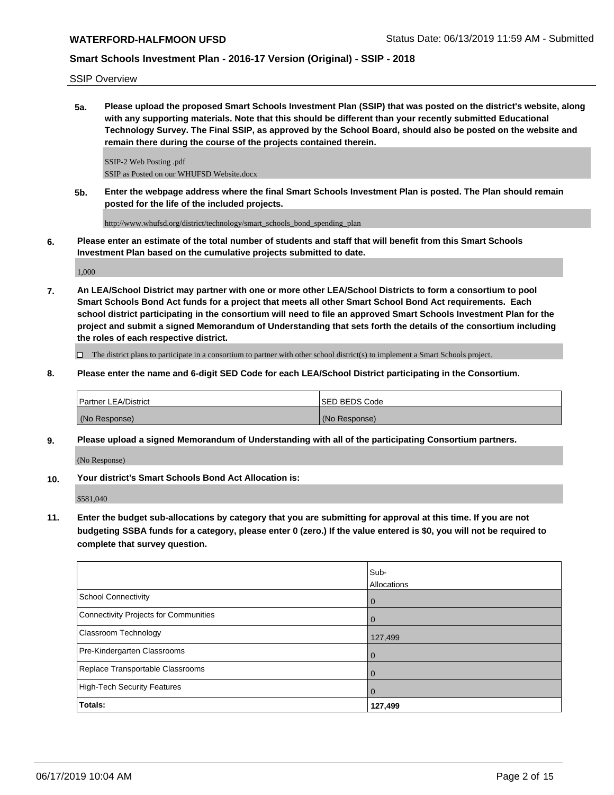SSIP Overview

**5a. Please upload the proposed Smart Schools Investment Plan (SSIP) that was posted on the district's website, along with any supporting materials. Note that this should be different than your recently submitted Educational Technology Survey. The Final SSIP, as approved by the School Board, should also be posted on the website and remain there during the course of the projects contained therein.**

SSIP-2 Web Posting .pdf SSIP as Posted on our WHUFSD Website.docx

**5b. Enter the webpage address where the final Smart Schools Investment Plan is posted. The Plan should remain posted for the life of the included projects.**

http://www.whufsd.org/district/technology/smart\_schools\_bond\_spending\_plan

**6. Please enter an estimate of the total number of students and staff that will benefit from this Smart Schools Investment Plan based on the cumulative projects submitted to date.**

1,000

**7. An LEA/School District may partner with one or more other LEA/School Districts to form a consortium to pool Smart Schools Bond Act funds for a project that meets all other Smart School Bond Act requirements. Each school district participating in the consortium will need to file an approved Smart Schools Investment Plan for the project and submit a signed Memorandum of Understanding that sets forth the details of the consortium including the roles of each respective district.**

 $\Box$  The district plans to participate in a consortium to partner with other school district(s) to implement a Smart Schools project.

**8. Please enter the name and 6-digit SED Code for each LEA/School District participating in the Consortium.**

| <b>Partner LEA/District</b> | ISED BEDS Code |
|-----------------------------|----------------|
| (No Response)               | (No Response)  |

**9. Please upload a signed Memorandum of Understanding with all of the participating Consortium partners.**

(No Response)

**10. Your district's Smart Schools Bond Act Allocation is:**

\$581,040

**11. Enter the budget sub-allocations by category that you are submitting for approval at this time. If you are not budgeting SSBA funds for a category, please enter 0 (zero.) If the value entered is \$0, you will not be required to complete that survey question.**

|                                              | Sub-<br>Allocations |
|----------------------------------------------|---------------------|
| <b>School Connectivity</b>                   | $\overline{0}$      |
| <b>Connectivity Projects for Communities</b> | 0                   |
| <b>Classroom Technology</b>                  | 127,499             |
| Pre-Kindergarten Classrooms                  | $\overline{0}$      |
| Replace Transportable Classrooms             | $\mathbf 0$         |
| <b>High-Tech Security Features</b>           | $\mathbf 0$         |
| Totals:                                      | 127,499             |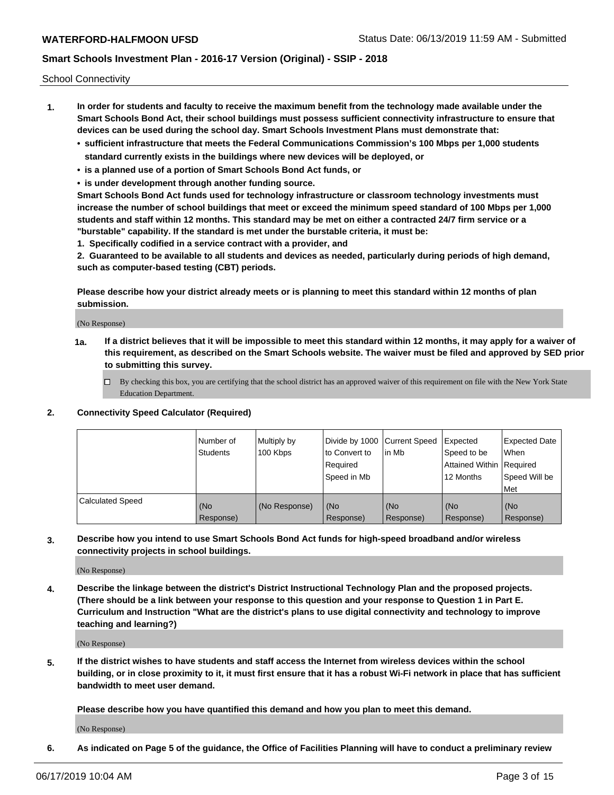School Connectivity

- **1. In order for students and faculty to receive the maximum benefit from the technology made available under the Smart Schools Bond Act, their school buildings must possess sufficient connectivity infrastructure to ensure that devices can be used during the school day. Smart Schools Investment Plans must demonstrate that:**
	- **• sufficient infrastructure that meets the Federal Communications Commission's 100 Mbps per 1,000 students standard currently exists in the buildings where new devices will be deployed, or**
	- **• is a planned use of a portion of Smart Schools Bond Act funds, or**
	- **• is under development through another funding source.**

**Smart Schools Bond Act funds used for technology infrastructure or classroom technology investments must increase the number of school buildings that meet or exceed the minimum speed standard of 100 Mbps per 1,000 students and staff within 12 months. This standard may be met on either a contracted 24/7 firm service or a "burstable" capability. If the standard is met under the burstable criteria, it must be:**

**1. Specifically codified in a service contract with a provider, and**

**2. Guaranteed to be available to all students and devices as needed, particularly during periods of high demand, such as computer-based testing (CBT) periods.**

**Please describe how your district already meets or is planning to meet this standard within 12 months of plan submission.**

(No Response)

**1a. If a district believes that it will be impossible to meet this standard within 12 months, it may apply for a waiver of this requirement, as described on the Smart Schools website. The waiver must be filed and approved by SED prior to submitting this survey.**

 $\Box$  By checking this box, you are certifying that the school district has an approved waiver of this requirement on file with the New York State Education Department.

**2. Connectivity Speed Calculator (Required)**

|                         | l Number of<br><b>Students</b> | Multiply by<br>100 Kbps | Divide by 1000 Current Speed<br>to Convert to<br>Required<br>Speed in Mb | lin Mb           | Expected<br>Speed to be<br>Attained Within   Required<br>12 Months | <b>Expected Date</b><br><b>When</b><br>Speed Will be<br><b>Met</b> |
|-------------------------|--------------------------------|-------------------------|--------------------------------------------------------------------------|------------------|--------------------------------------------------------------------|--------------------------------------------------------------------|
| <b>Calculated Speed</b> | (No<br>Response)               | (No Response)           | (No<br>Response)                                                         | (No<br>Response) | (No<br>Response)                                                   | (No<br>Response)                                                   |

**3. Describe how you intend to use Smart Schools Bond Act funds for high-speed broadband and/or wireless connectivity projects in school buildings.**

(No Response)

**4. Describe the linkage between the district's District Instructional Technology Plan and the proposed projects. (There should be a link between your response to this question and your response to Question 1 in Part E. Curriculum and Instruction "What are the district's plans to use digital connectivity and technology to improve teaching and learning?)**

(No Response)

**5. If the district wishes to have students and staff access the Internet from wireless devices within the school building, or in close proximity to it, it must first ensure that it has a robust Wi-Fi network in place that has sufficient bandwidth to meet user demand.**

**Please describe how you have quantified this demand and how you plan to meet this demand.**

(No Response)

**6. As indicated on Page 5 of the guidance, the Office of Facilities Planning will have to conduct a preliminary review**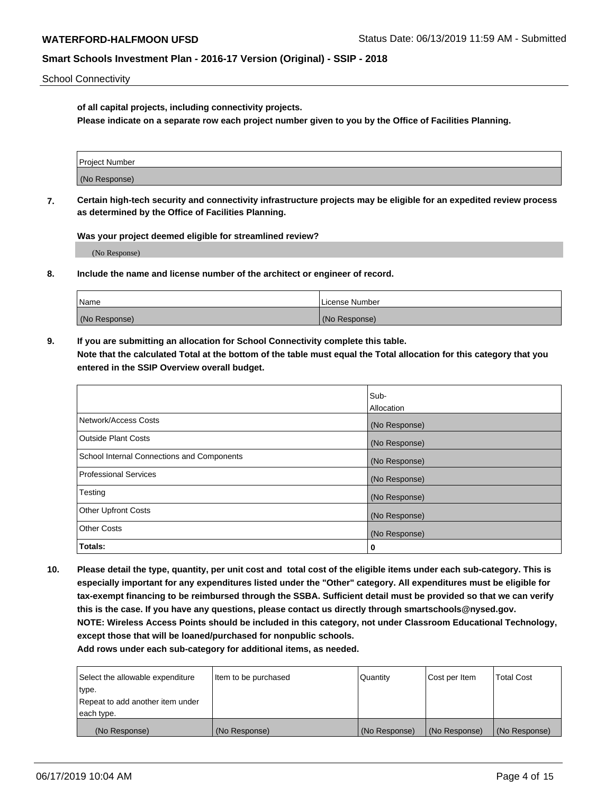School Connectivity

**of all capital projects, including connectivity projects.**

**Please indicate on a separate row each project number given to you by the Office of Facilities Planning.**

| Project Number |  |
|----------------|--|
|                |  |
| (No Response)  |  |
|                |  |

**7. Certain high-tech security and connectivity infrastructure projects may be eligible for an expedited review process as determined by the Office of Facilities Planning.**

**Was your project deemed eligible for streamlined review?**

(No Response)

**8. Include the name and license number of the architect or engineer of record.**

| Name          | License Number |
|---------------|----------------|
| (No Response) | (No Response)  |

**9. If you are submitting an allocation for School Connectivity complete this table. Note that the calculated Total at the bottom of the table must equal the Total allocation for this category that you entered in the SSIP Overview overall budget.** 

|                                            | Sub-          |
|--------------------------------------------|---------------|
|                                            | Allocation    |
| Network/Access Costs                       | (No Response) |
| Outside Plant Costs                        | (No Response) |
| School Internal Connections and Components | (No Response) |
| <b>Professional Services</b>               | (No Response) |
| Testing                                    | (No Response) |
| <b>Other Upfront Costs</b>                 | (No Response) |
| <b>Other Costs</b>                         | (No Response) |
| Totals:                                    | 0             |

**10. Please detail the type, quantity, per unit cost and total cost of the eligible items under each sub-category. This is especially important for any expenditures listed under the "Other" category. All expenditures must be eligible for tax-exempt financing to be reimbursed through the SSBA. Sufficient detail must be provided so that we can verify this is the case. If you have any questions, please contact us directly through smartschools@nysed.gov. NOTE: Wireless Access Points should be included in this category, not under Classroom Educational Technology, except those that will be loaned/purchased for nonpublic schools.**

| Select the allowable expenditure | Item to be purchased | Quantity      | <b>Cost per Item</b> | <b>Total Cost</b> |
|----------------------------------|----------------------|---------------|----------------------|-------------------|
| type.                            |                      |               |                      |                   |
| Repeat to add another item under |                      |               |                      |                   |
| each type.                       |                      |               |                      |                   |
| (No Response)                    | (No Response)        | (No Response) | (No Response)        | (No Response)     |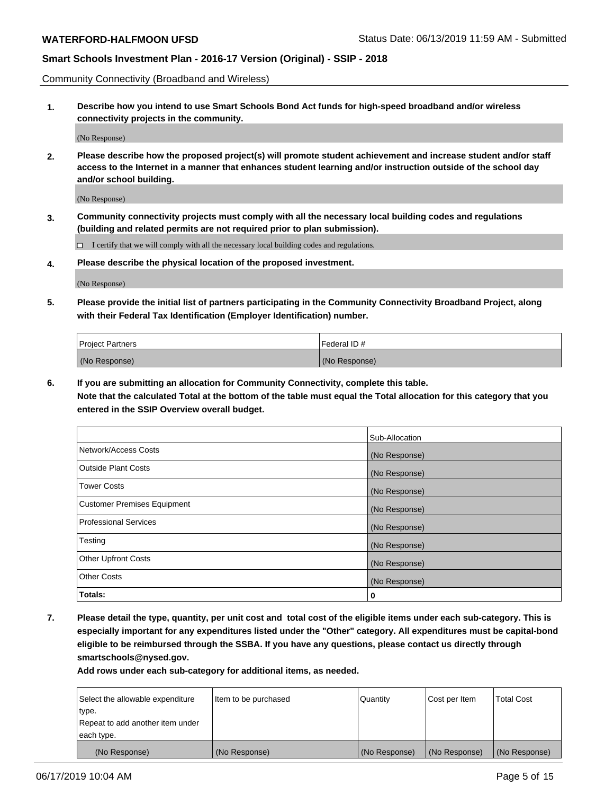Community Connectivity (Broadband and Wireless)

**1. Describe how you intend to use Smart Schools Bond Act funds for high-speed broadband and/or wireless connectivity projects in the community.**

(No Response)

**2. Please describe how the proposed project(s) will promote student achievement and increase student and/or staff access to the Internet in a manner that enhances student learning and/or instruction outside of the school day and/or school building.**

(No Response)

**3. Community connectivity projects must comply with all the necessary local building codes and regulations (building and related permits are not required prior to plan submission).**

 $\Box$  I certify that we will comply with all the necessary local building codes and regulations.

**4. Please describe the physical location of the proposed investment.**

(No Response)

**5. Please provide the initial list of partners participating in the Community Connectivity Broadband Project, along with their Federal Tax Identification (Employer Identification) number.**

| <b>Project Partners</b> | l Federal ID # |
|-------------------------|----------------|
| (No Response)           | (No Response)  |

**6. If you are submitting an allocation for Community Connectivity, complete this table.**

**Note that the calculated Total at the bottom of the table must equal the Total allocation for this category that you entered in the SSIP Overview overall budget.**

|                              | Sub-Allocation |
|------------------------------|----------------|
| Network/Access Costs         | (No Response)  |
| Outside Plant Costs          | (No Response)  |
| <b>Tower Costs</b>           | (No Response)  |
| Customer Premises Equipment  | (No Response)  |
| <b>Professional Services</b> | (No Response)  |
| Testing                      | (No Response)  |
| <b>Other Upfront Costs</b>   | (No Response)  |
| <b>Other Costs</b>           | (No Response)  |
| Totals:                      | 0              |

**7. Please detail the type, quantity, per unit cost and total cost of the eligible items under each sub-category. This is especially important for any expenditures listed under the "Other" category. All expenditures must be capital-bond eligible to be reimbursed through the SSBA. If you have any questions, please contact us directly through smartschools@nysed.gov.**

| Select the allowable expenditure | Item to be purchased | Quantity      | Cost per Item | <b>Total Cost</b> |
|----------------------------------|----------------------|---------------|---------------|-------------------|
| type.                            |                      |               |               |                   |
| Repeat to add another item under |                      |               |               |                   |
| each type.                       |                      |               |               |                   |
| (No Response)                    | (No Response)        | (No Response) | (No Response) | (No Response)     |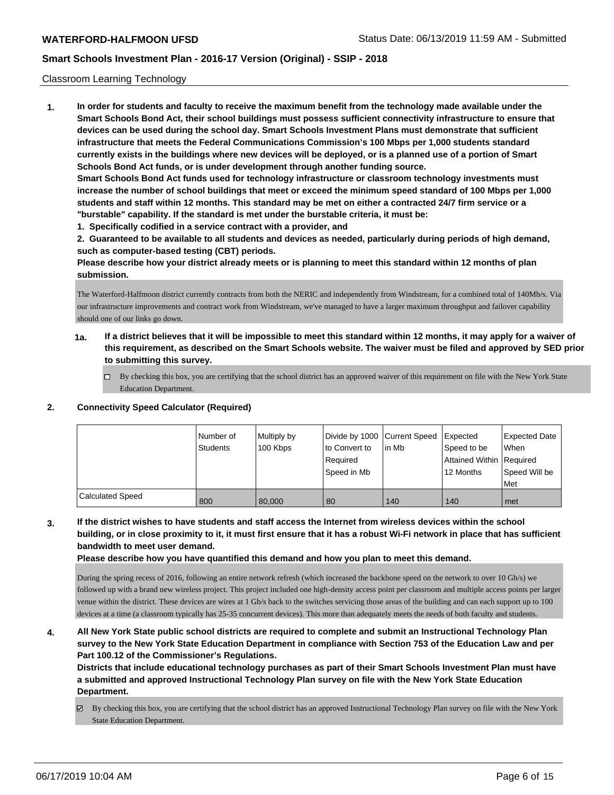#### Classroom Learning Technology

**1. In order for students and faculty to receive the maximum benefit from the technology made available under the Smart Schools Bond Act, their school buildings must possess sufficient connectivity infrastructure to ensure that devices can be used during the school day. Smart Schools Investment Plans must demonstrate that sufficient infrastructure that meets the Federal Communications Commission's 100 Mbps per 1,000 students standard currently exists in the buildings where new devices will be deployed, or is a planned use of a portion of Smart Schools Bond Act funds, or is under development through another funding source. Smart Schools Bond Act funds used for technology infrastructure or classroom technology investments must increase the number of school buildings that meet or exceed the minimum speed standard of 100 Mbps per 1,000 students and staff within 12 months. This standard may be met on either a contracted 24/7 firm service or a "burstable" capability. If the standard is met under the burstable criteria, it must be:**

**1. Specifically codified in a service contract with a provider, and**

**2. Guaranteed to be available to all students and devices as needed, particularly during periods of high demand, such as computer-based testing (CBT) periods.**

**Please describe how your district already meets or is planning to meet this standard within 12 months of plan submission.**

The Waterford-Halfmoon district currently contracts from both the NERIC and independently from Windstream, for a combined total of 140Mb/s. Via our infrastructure improvements and contract work from Windstream, we've managed to have a larger maximum throughput and failover capability should one of our links go down.

- **1a. If a district believes that it will be impossible to meet this standard within 12 months, it may apply for a waiver of this requirement, as described on the Smart Schools website. The waiver must be filed and approved by SED prior to submitting this survey.**
	- $\Box$  By checking this box, you are certifying that the school district has an approved waiver of this requirement on file with the New York State Education Department.

#### **2. Connectivity Speed Calculator (Required)**

|                         | I Number of<br>Students | Multiply by<br>100 Kbps | Divide by 1000 Current Speed<br>to Convert to<br>Required<br>Speed in Mb | in Mb | Expected<br>Speed to be<br>Attained Within Required<br>12 Months | <b>Expected Date</b><br><b>When</b><br>Speed Will be<br>Met |
|-------------------------|-------------------------|-------------------------|--------------------------------------------------------------------------|-------|------------------------------------------------------------------|-------------------------------------------------------------|
| <b>Calculated Speed</b> | 800                     | 80,000                  | 80                                                                       | 140   | 140                                                              | met                                                         |

**3. If the district wishes to have students and staff access the Internet from wireless devices within the school building, or in close proximity to it, it must first ensure that it has a robust Wi-Fi network in place that has sufficient bandwidth to meet user demand.**

**Please describe how you have quantified this demand and how you plan to meet this demand.**

During the spring recess of 2016, following an entire network refresh (which increased the backbone speed on the network to over 10 Gb/s) we followed up with a brand new wireless project. This project included one high-density access point per classroom and multiple access points per larger venue within the district. These devices are wires at 1 Gb/s back to the switches servicing those areas of the building and can each support up to 100 devices at a time (a classroom typically has 25-35 concurrent devices). This more than adequately meets the needs of both faculty and students.

**4. All New York State public school districts are required to complete and submit an Instructional Technology Plan survey to the New York State Education Department in compliance with Section 753 of the Education Law and per Part 100.12 of the Commissioner's Regulations.**

**Districts that include educational technology purchases as part of their Smart Schools Investment Plan must have a submitted and approved Instructional Technology Plan survey on file with the New York State Education Department.**

 $\boxtimes$  By checking this box, you are certifying that the school district has an approved Instructional Technology Plan survey on file with the New York State Education Department.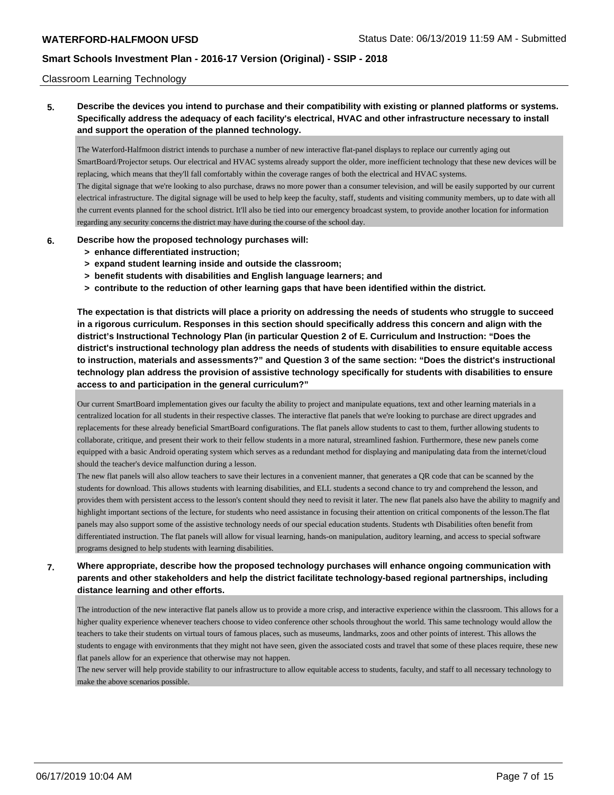#### Classroom Learning Technology

## **5. Describe the devices you intend to purchase and their compatibility with existing or planned platforms or systems. Specifically address the adequacy of each facility's electrical, HVAC and other infrastructure necessary to install and support the operation of the planned technology.**

The Waterford-Halfmoon district intends to purchase a number of new interactive flat-panel displays to replace our currently aging out SmartBoard/Projector setups. Our electrical and HVAC systems already support the older, more inefficient technology that these new devices will be replacing, which means that they'll fall comfortably within the coverage ranges of both the electrical and HVAC systems. The digital signage that we're looking to also purchase, draws no more power than a consumer television, and will be easily supported by our current electrical infrastructure. The digital signage will be used to help keep the faculty, staff, students and visiting community members, up to date with all the current events planned for the school district. It'll also be tied into our emergency broadcast system, to provide another location for information regarding any security concerns the district may have during the course of the school day.

#### **6. Describe how the proposed technology purchases will:**

- **> enhance differentiated instruction;**
- **> expand student learning inside and outside the classroom;**
- **> benefit students with disabilities and English language learners; and**
- **> contribute to the reduction of other learning gaps that have been identified within the district.**

**The expectation is that districts will place a priority on addressing the needs of students who struggle to succeed in a rigorous curriculum. Responses in this section should specifically address this concern and align with the district's Instructional Technology Plan (in particular Question 2 of E. Curriculum and Instruction: "Does the district's instructional technology plan address the needs of students with disabilities to ensure equitable access to instruction, materials and assessments?" and Question 3 of the same section: "Does the district's instructional technology plan address the provision of assistive technology specifically for students with disabilities to ensure access to and participation in the general curriculum?"**

Our current SmartBoard implementation gives our faculty the ability to project and manipulate equations, text and other learning materials in a centralized location for all students in their respective classes. The interactive flat panels that we're looking to purchase are direct upgrades and replacements for these already beneficial SmartBoard configurations. The flat panels allow students to cast to them, further allowing students to collaborate, critique, and present their work to their fellow students in a more natural, streamlined fashion. Furthermore, these new panels come equipped with a basic Android operating system which serves as a redundant method for displaying and manipulating data from the internet/cloud should the teacher's device malfunction during a lesson.

The new flat panels will also allow teachers to save their lectures in a convenient manner, that generates a QR code that can be scanned by the students for download. This allows students with learning disabilities, and ELL students a second chance to try and comprehend the lesson, and provides them with persistent access to the lesson's content should they need to revisit it later. The new flat panels also have the ability to magnify and highlight important sections of the lecture, for students who need assistance in focusing their attention on critical components of the lesson.The flat panels may also support some of the assistive technology needs of our special education students. Students wth Disabilities often benefit from differentiated instruction. The flat panels will allow for visual learning, hands-on manipulation, auditory learning, and access to special software programs designed to help students with learning disabilities.

## **7. Where appropriate, describe how the proposed technology purchases will enhance ongoing communication with parents and other stakeholders and help the district facilitate technology-based regional partnerships, including distance learning and other efforts.**

The introduction of the new interactive flat panels allow us to provide a more crisp, and interactive experience within the classroom. This allows for a higher quality experience whenever teachers choose to video conference other schools throughout the world. This same technology would allow the teachers to take their students on virtual tours of famous places, such as museums, landmarks, zoos and other points of interest. This allows the students to engage with environments that they might not have seen, given the associated costs and travel that some of these places require, these new flat panels allow for an experience that otherwise may not happen.

The new server will help provide stability to our infrastructure to allow equitable access to students, faculty, and staff to all necessary technology to make the above scenarios possible.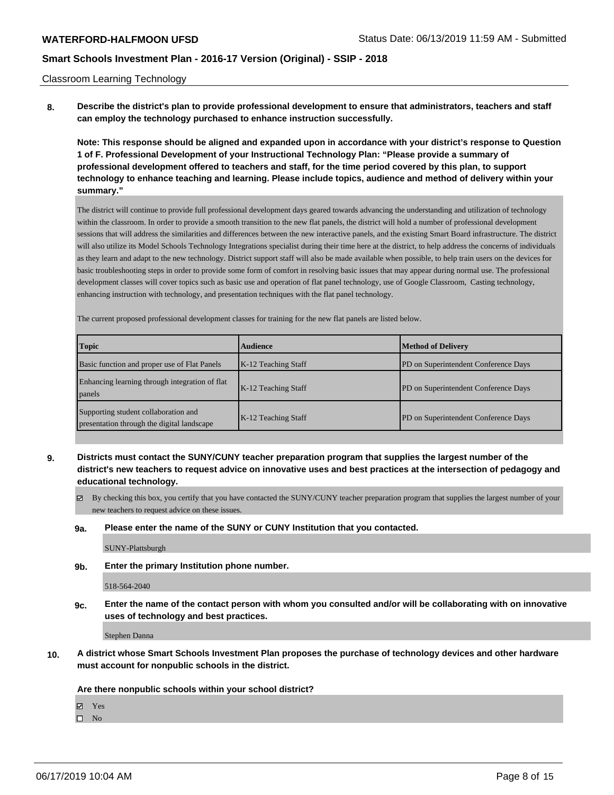#### Classroom Learning Technology

**8. Describe the district's plan to provide professional development to ensure that administrators, teachers and staff can employ the technology purchased to enhance instruction successfully.**

**Note: This response should be aligned and expanded upon in accordance with your district's response to Question 1 of F. Professional Development of your Instructional Technology Plan: "Please provide a summary of professional development offered to teachers and staff, for the time period covered by this plan, to support technology to enhance teaching and learning. Please include topics, audience and method of delivery within your summary."**

The district will continue to provide full professional development days geared towards advancing the understanding and utilization of technology within the classroom. In order to provide a smooth transition to the new flat panels, the district will hold a number of professional development sessions that will address the similarities and differences between the new interactive panels, and the existing Smart Board infrastructure. The district will also utilize its Model Schools Technology Integrations specialist during their time here at the district, to help address the concerns of individuals as they learn and adapt to the new technology. District support staff will also be made available when possible, to help train users on the devices for basic troubleshooting steps in order to provide some form of comfort in resolving basic issues that may appear during normal use. The professional development classes will cover topics such as basic use and operation of flat panel technology, use of Google Classroom, Casting technology, enhancing instruction with technology, and presentation techniques with the flat panel technology.

The current proposed professional development classes for training for the new flat panels are listed below.

| <b>Topic</b>                                                                       | <b>Audience</b>     | Method of Delivery                   |
|------------------------------------------------------------------------------------|---------------------|--------------------------------------|
| Basic function and proper use of Flat Panels                                       | K-12 Teaching Staff | PD on Superintendent Conference Days |
| Enhancing learning through integration of flat<br>panels                           | K-12 Teaching Staff | PD on Superintendent Conference Days |
| Supporting student collaboration and<br>presentation through the digital landscape | K-12 Teaching Staff | PD on Superintendent Conference Days |

## **9. Districts must contact the SUNY/CUNY teacher preparation program that supplies the largest number of the district's new teachers to request advice on innovative uses and best practices at the intersection of pedagogy and educational technology.**

By checking this box, you certify that you have contacted the SUNY/CUNY teacher preparation program that supplies the largest number of your new teachers to request advice on these issues.

#### **9a. Please enter the name of the SUNY or CUNY Institution that you contacted.**

SUNY-Plattsburgh

**9b. Enter the primary Institution phone number.**

518-564-2040

**9c. Enter the name of the contact person with whom you consulted and/or will be collaborating with on innovative uses of technology and best practices.**

Stephen Danna

**10. A district whose Smart Schools Investment Plan proposes the purchase of technology devices and other hardware must account for nonpublic schools in the district.**

#### **Are there nonpublic schools within your school district?**

Yes

 $\square$  No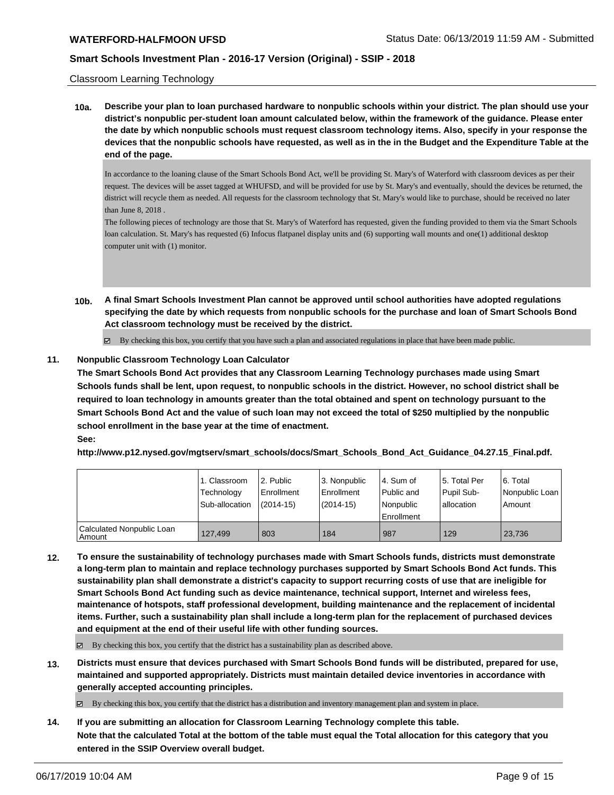Classroom Learning Technology

**10a. Describe your plan to loan purchased hardware to nonpublic schools within your district. The plan should use your district's nonpublic per-student loan amount calculated below, within the framework of the guidance. Please enter the date by which nonpublic schools must request classroom technology items. Also, specify in your response the devices that the nonpublic schools have requested, as well as in the in the Budget and the Expenditure Table at the end of the page.**

In accordance to the loaning clause of the Smart Schools Bond Act, we'll be providing St. Mary's of Waterford with classroom devices as per their request. The devices will be asset tagged at WHUFSD, and will be provided for use by St. Mary's and eventually, should the devices be returned, the district will recycle them as needed. All requests for the classroom technology that St. Mary's would like to purchase, should be received no later than June 8, 2018 .

The following pieces of technology are those that St. Mary's of Waterford has requested, given the funding provided to them via the Smart Schools loan calculation. St. Mary's has requested (6) Infocus flatpanel display units and (6) supporting wall mounts and one(1) additional desktop computer unit with (1) monitor.

**10b. A final Smart Schools Investment Plan cannot be approved until school authorities have adopted regulations specifying the date by which requests from nonpublic schools for the purchase and loan of Smart Schools Bond Act classroom technology must be received by the district.**

By checking this box, you certify that you have such a plan and associated regulations in place that have been made public.

#### **11. Nonpublic Classroom Technology Loan Calculator**

**The Smart Schools Bond Act provides that any Classroom Learning Technology purchases made using Smart Schools funds shall be lent, upon request, to nonpublic schools in the district. However, no school district shall be required to loan technology in amounts greater than the total obtained and spent on technology pursuant to the Smart Schools Bond Act and the value of such loan may not exceed the total of \$250 multiplied by the nonpublic school enrollment in the base year at the time of enactment. See:**

**http://www.p12.nysed.gov/mgtserv/smart\_schools/docs/Smart\_Schools\_Bond\_Act\_Guidance\_04.27.15\_Final.pdf.**

|                                       | 1. Classroom<br>Technology<br>Sub-allocation | 2. Public<br>Enrollment<br>$(2014-15)$ | 3. Nonpublic<br>Enrollment<br>$(2014-15)$ | l 4. Sum of<br>l Public and<br>Nonpublic<br>l Enrollment | 15. Total Per<br>Pupil Sub-<br>lallocation | 6. Total<br>  Nonpublic Loan  <br>Amount |
|---------------------------------------|----------------------------------------------|----------------------------------------|-------------------------------------------|----------------------------------------------------------|--------------------------------------------|------------------------------------------|
| Calculated Nonpublic Loan<br>  Amount | 127.499                                      | 803                                    | 184                                       | 987                                                      | 129                                        | 23,736                                   |

**12. To ensure the sustainability of technology purchases made with Smart Schools funds, districts must demonstrate a long-term plan to maintain and replace technology purchases supported by Smart Schools Bond Act funds. This sustainability plan shall demonstrate a district's capacity to support recurring costs of use that are ineligible for Smart Schools Bond Act funding such as device maintenance, technical support, Internet and wireless fees, maintenance of hotspots, staff professional development, building maintenance and the replacement of incidental items. Further, such a sustainability plan shall include a long-term plan for the replacement of purchased devices and equipment at the end of their useful life with other funding sources.**

 $\boxtimes$  By checking this box, you certify that the district has a sustainability plan as described above.

**13. Districts must ensure that devices purchased with Smart Schools Bond funds will be distributed, prepared for use, maintained and supported appropriately. Districts must maintain detailed device inventories in accordance with generally accepted accounting principles.**

By checking this box, you certify that the district has a distribution and inventory management plan and system in place.

**14. If you are submitting an allocation for Classroom Learning Technology complete this table. Note that the calculated Total at the bottom of the table must equal the Total allocation for this category that you entered in the SSIP Overview overall budget.**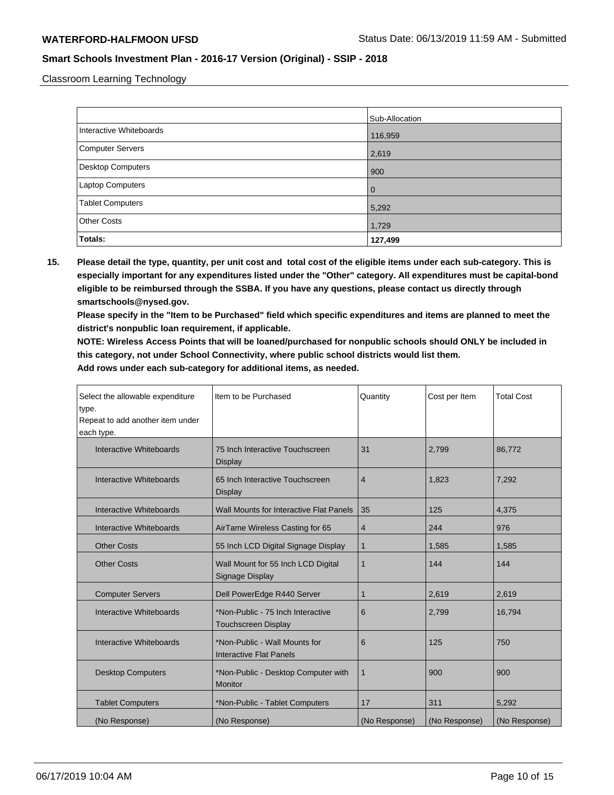Classroom Learning Technology

|                          | Sub-Allocation |
|--------------------------|----------------|
| Interactive Whiteboards  | 116,959        |
| <b>Computer Servers</b>  | 2,619          |
| <b>Desktop Computers</b> | 900            |
| Laptop Computers         | $\overline{0}$ |
| <b>Tablet Computers</b>  | 5,292          |
| <b>Other Costs</b>       | 1,729          |
| Totals:                  | 127,499        |

**15. Please detail the type, quantity, per unit cost and total cost of the eligible items under each sub-category. This is especially important for any expenditures listed under the "Other" category. All expenditures must be capital-bond eligible to be reimbursed through the SSBA. If you have any questions, please contact us directly through smartschools@nysed.gov.**

**Please specify in the "Item to be Purchased" field which specific expenditures and items are planned to meet the district's nonpublic loan requirement, if applicable.**

**NOTE: Wireless Access Points that will be loaned/purchased for nonpublic schools should ONLY be included in this category, not under School Connectivity, where public school districts would list them.**

| Select the allowable expenditure<br>type.<br>Repeat to add another item under<br>each type. | Item to be Purchased                                            | Quantity       | Cost per Item | <b>Total Cost</b> |
|---------------------------------------------------------------------------------------------|-----------------------------------------------------------------|----------------|---------------|-------------------|
| Interactive Whiteboards                                                                     | 75 Inch Interactive Touchscreen<br><b>Display</b>               | 31             | 2.799         | 86.772            |
| Interactive Whiteboards                                                                     | 65 Inch Interactive Touchscreen<br><b>Display</b>               | $\overline{4}$ | 1,823         | 7,292             |
| Interactive Whiteboards                                                                     | Wall Mounts for Interactive Flat Panels                         | 35             | 125           | 4,375             |
| Interactive Whiteboards                                                                     | AirTame Wireless Casting for 65                                 | $\overline{4}$ | 244           | 976               |
| <b>Other Costs</b>                                                                          | 55 Inch LCD Digital Signage Display                             | $\mathbf 1$    | 1,585         | 1,585             |
| <b>Other Costs</b>                                                                          | Wall Mount for 55 Inch LCD Digital<br>Signage Display           | $\mathbf{1}$   | 144           | 144               |
| <b>Computer Servers</b>                                                                     | Dell PowerEdge R440 Server                                      | 1              | 2,619         | 2,619             |
| Interactive Whiteboards                                                                     | *Non-Public - 75 Inch Interactive<br><b>Touchscreen Display</b> | 6              | 2,799         | 16,794            |
| Interactive Whiteboards                                                                     | *Non-Public - Wall Mounts for<br><b>Interactive Flat Panels</b> | 6              | 125           | 750               |
| <b>Desktop Computers</b>                                                                    | *Non-Public - Desktop Computer with<br><b>Monitor</b>           | $\mathbf 1$    | 900           | 900               |
| <b>Tablet Computers</b>                                                                     | *Non-Public - Tablet Computers                                  | 17             | 311           | 5,292             |
| (No Response)                                                                               | (No Response)                                                   | (No Response)  | (No Response) | (No Response)     |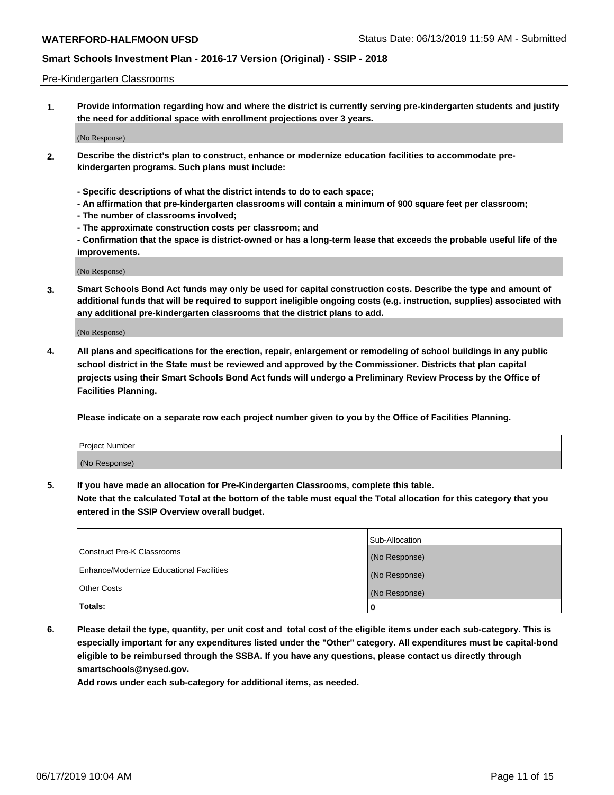#### Pre-Kindergarten Classrooms

**1. Provide information regarding how and where the district is currently serving pre-kindergarten students and justify the need for additional space with enrollment projections over 3 years.**

(No Response)

- **2. Describe the district's plan to construct, enhance or modernize education facilities to accommodate prekindergarten programs. Such plans must include:**
	- **Specific descriptions of what the district intends to do to each space;**
	- **An affirmation that pre-kindergarten classrooms will contain a minimum of 900 square feet per classroom;**
	- **The number of classrooms involved;**
	- **The approximate construction costs per classroom; and**
	- **Confirmation that the space is district-owned or has a long-term lease that exceeds the probable useful life of the improvements.**

(No Response)

**3. Smart Schools Bond Act funds may only be used for capital construction costs. Describe the type and amount of additional funds that will be required to support ineligible ongoing costs (e.g. instruction, supplies) associated with any additional pre-kindergarten classrooms that the district plans to add.**

(No Response)

**4. All plans and specifications for the erection, repair, enlargement or remodeling of school buildings in any public school district in the State must be reviewed and approved by the Commissioner. Districts that plan capital projects using their Smart Schools Bond Act funds will undergo a Preliminary Review Process by the Office of Facilities Planning.**

**Please indicate on a separate row each project number given to you by the Office of Facilities Planning.**

| Project Number |  |
|----------------|--|
| (No Response)  |  |
|                |  |

**5. If you have made an allocation for Pre-Kindergarten Classrooms, complete this table.**

**Note that the calculated Total at the bottom of the table must equal the Total allocation for this category that you entered in the SSIP Overview overall budget.**

|                                          | Sub-Allocation |
|------------------------------------------|----------------|
| Construct Pre-K Classrooms               | (No Response)  |
| Enhance/Modernize Educational Facilities | (No Response)  |
| <b>Other Costs</b>                       | (No Response)  |
| Totals:                                  | 0              |

**6. Please detail the type, quantity, per unit cost and total cost of the eligible items under each sub-category. This is especially important for any expenditures listed under the "Other" category. All expenditures must be capital-bond eligible to be reimbursed through the SSBA. If you have any questions, please contact us directly through smartschools@nysed.gov.**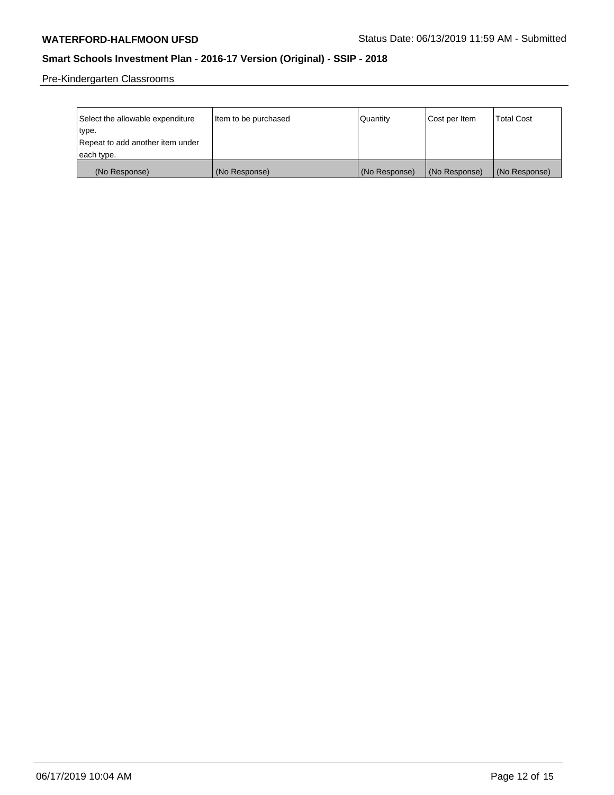Pre-Kindergarten Classrooms

| Select the allowable expenditure<br>type. | Item to be purchased | Quantity      | Cost per Item | <b>Total Cost</b> |
|-------------------------------------------|----------------------|---------------|---------------|-------------------|
| Repeat to add another item under          |                      |               |               |                   |
| each type.                                |                      |               |               |                   |
| (No Response)                             | (No Response)        | (No Response) | (No Response) | (No Response)     |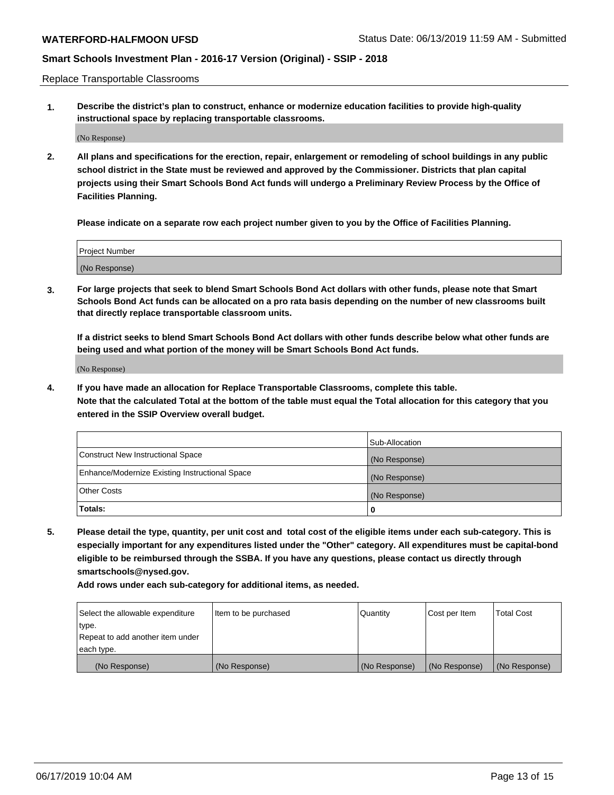Replace Transportable Classrooms

**1. Describe the district's plan to construct, enhance or modernize education facilities to provide high-quality instructional space by replacing transportable classrooms.**

(No Response)

**2. All plans and specifications for the erection, repair, enlargement or remodeling of school buildings in any public school district in the State must be reviewed and approved by the Commissioner. Districts that plan capital projects using their Smart Schools Bond Act funds will undergo a Preliminary Review Process by the Office of Facilities Planning.**

**Please indicate on a separate row each project number given to you by the Office of Facilities Planning.**

| Project Number |  |
|----------------|--|
|                |  |
| (No Response)  |  |

**3. For large projects that seek to blend Smart Schools Bond Act dollars with other funds, please note that Smart Schools Bond Act funds can be allocated on a pro rata basis depending on the number of new classrooms built that directly replace transportable classroom units.**

**If a district seeks to blend Smart Schools Bond Act dollars with other funds describe below what other funds are being used and what portion of the money will be Smart Schools Bond Act funds.**

(No Response)

**4. If you have made an allocation for Replace Transportable Classrooms, complete this table. Note that the calculated Total at the bottom of the table must equal the Total allocation for this category that you entered in the SSIP Overview overall budget.**

|                                                | Sub-Allocation |
|------------------------------------------------|----------------|
| Construct New Instructional Space              | (No Response)  |
| Enhance/Modernize Existing Instructional Space | (No Response)  |
| <b>Other Costs</b>                             | (No Response)  |
| Totals:                                        | 0              |

**5. Please detail the type, quantity, per unit cost and total cost of the eligible items under each sub-category. This is especially important for any expenditures listed under the "Other" category. All expenditures must be capital-bond eligible to be reimbursed through the SSBA. If you have any questions, please contact us directly through smartschools@nysed.gov.**

| Select the allowable expenditure | Item to be purchased | l Quantitv    | Cost per Item | <b>Total Cost</b> |
|----------------------------------|----------------------|---------------|---------------|-------------------|
| type.                            |                      |               |               |                   |
| Repeat to add another item under |                      |               |               |                   |
| each type.                       |                      |               |               |                   |
| (No Response)                    | (No Response)        | (No Response) | (No Response) | (No Response)     |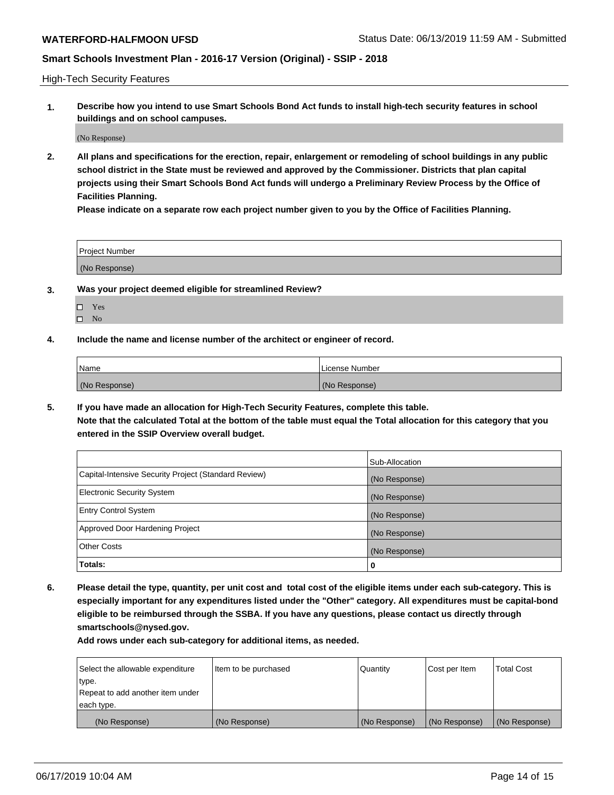High-Tech Security Features

**1. Describe how you intend to use Smart Schools Bond Act funds to install high-tech security features in school buildings and on school campuses.**

(No Response)

**2. All plans and specifications for the erection, repair, enlargement or remodeling of school buildings in any public school district in the State must be reviewed and approved by the Commissioner. Districts that plan capital projects using their Smart Schools Bond Act funds will undergo a Preliminary Review Process by the Office of Facilities Planning.** 

**Please indicate on a separate row each project number given to you by the Office of Facilities Planning.**

| <b>Project Number</b> |  |
|-----------------------|--|
| (No Response)         |  |

- **3. Was your project deemed eligible for streamlined Review?**
	- Yes
	- $\square$  No
- **4. Include the name and license number of the architect or engineer of record.**

| <b>Name</b>   | License Number |
|---------------|----------------|
| (No Response) | (No Response)  |

**5. If you have made an allocation for High-Tech Security Features, complete this table.**

**Note that the calculated Total at the bottom of the table must equal the Total allocation for this category that you entered in the SSIP Overview overall budget.**

|                                                      | Sub-Allocation |
|------------------------------------------------------|----------------|
| Capital-Intensive Security Project (Standard Review) | (No Response)  |
| <b>Electronic Security System</b>                    | (No Response)  |
| <b>Entry Control System</b>                          | (No Response)  |
| Approved Door Hardening Project                      | (No Response)  |
| <b>Other Costs</b>                                   | (No Response)  |
| Totals:                                              | 0              |

**6. Please detail the type, quantity, per unit cost and total cost of the eligible items under each sub-category. This is especially important for any expenditures listed under the "Other" category. All expenditures must be capital-bond eligible to be reimbursed through the SSBA. If you have any questions, please contact us directly through smartschools@nysed.gov.**

| Select the allowable expenditure | Item to be purchased | Quantity      | Cost per Item | <b>Total Cost</b> |
|----------------------------------|----------------------|---------------|---------------|-------------------|
| type.                            |                      |               |               |                   |
| Repeat to add another item under |                      |               |               |                   |
| each type.                       |                      |               |               |                   |
| (No Response)                    | (No Response)        | (No Response) | (No Response) | (No Response)     |